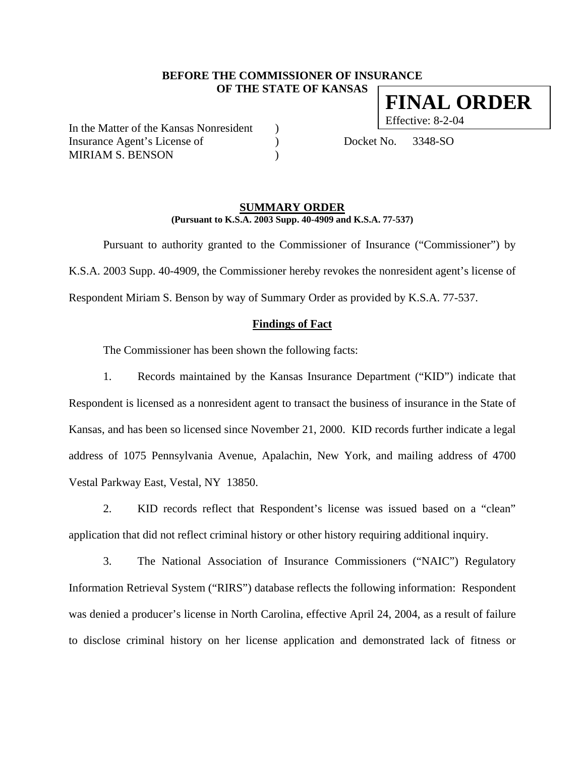### **BEFORE THE COMMISSIONER OF INSURANCE OF THE STATE OF KANSAS**

In the Matter of the Kansas Nonresident ) Insurance Agent's License of (a) Docket No. 3348-SO MIRIAM S. BENSON

### **SUMMARY ORDER (Pursuant to K.S.A. 2003 Supp. 40-4909 and K.S.A. 77-537)**

 Pursuant to authority granted to the Commissioner of Insurance ("Commissioner") by K.S.A. 2003 Supp. 40-4909, the Commissioner hereby revokes the nonresident agent's license of Respondent Miriam S. Benson by way of Summary Order as provided by K.S.A. 77-537.

### **Findings of Fact**

The Commissioner has been shown the following facts:

1. Records maintained by the Kansas Insurance Department ("KID") indicate that Respondent is licensed as a nonresident agent to transact the business of insurance in the State of Kansas, and has been so licensed since November 21, 2000. KID records further indicate a legal address of 1075 Pennsylvania Avenue, Apalachin, New York, and mailing address of 4700 Vestal Parkway East, Vestal, NY 13850.

2. KID records reflect that Respondent's license was issued based on a "clean" application that did not reflect criminal history or other history requiring additional inquiry.

3. The National Association of Insurance Commissioners ("NAIC") Regulatory Information Retrieval System ("RIRS") database reflects the following information: Respondent was denied a producer's license in North Carolina, effective April 24, 2004, as a result of failure to disclose criminal history on her license application and demonstrated lack of fitness or

**FINAL ORDER**

Effective: 8-2-04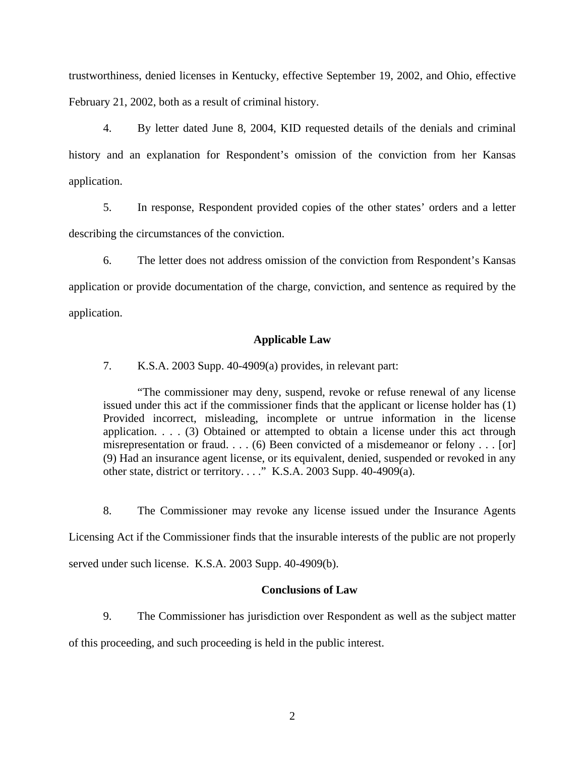trustworthiness, denied licenses in Kentucky, effective September 19, 2002, and Ohio, effective February 21, 2002, both as a result of criminal history.

4. By letter dated June 8, 2004, KID requested details of the denials and criminal history and an explanation for Respondent's omission of the conviction from her Kansas application.

5. In response, Respondent provided copies of the other states' orders and a letter describing the circumstances of the conviction.

6. The letter does not address omission of the conviction from Respondent's Kansas application or provide documentation of the charge, conviction, and sentence as required by the application.

## **Applicable Law**

7. K.S.A. 2003 Supp. 40-4909(a) provides, in relevant part:

"The commissioner may deny, suspend, revoke or refuse renewal of any license issued under this act if the commissioner finds that the applicant or license holder has (1) Provided incorrect, misleading, incomplete or untrue information in the license application. . . . (3) Obtained or attempted to obtain a license under this act through misrepresentation or fraud. . . . (6) Been convicted of a misdemeanor or felony . . . [or] (9) Had an insurance agent license, or its equivalent, denied, suspended or revoked in any other state, district or territory. . . ." K.S.A. 2003 Supp. 40-4909(a).

8. The Commissioner may revoke any license issued under the Insurance Agents Licensing Act if the Commissioner finds that the insurable interests of the public are not properly served under such license. K.S.A. 2003 Supp. 40-4909(b).

# **Conclusions of Law**

9. The Commissioner has jurisdiction over Respondent as well as the subject matter of this proceeding, and such proceeding is held in the public interest.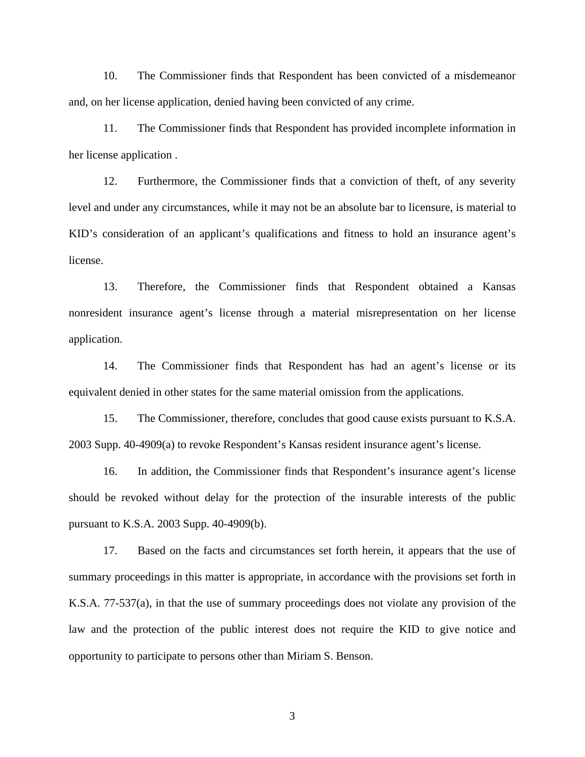10. The Commissioner finds that Respondent has been convicted of a misdemeanor and, on her license application, denied having been convicted of any crime.

11. The Commissioner finds that Respondent has provided incomplete information in her license application .

12. Furthermore, the Commissioner finds that a conviction of theft, of any severity level and under any circumstances, while it may not be an absolute bar to licensure, is material to KID's consideration of an applicant's qualifications and fitness to hold an insurance agent's license.

13. Therefore, the Commissioner finds that Respondent obtained a Kansas nonresident insurance agent's license through a material misrepresentation on her license application.

14. The Commissioner finds that Respondent has had an agent's license or its equivalent denied in other states for the same material omission from the applications.

15. The Commissioner, therefore, concludes that good cause exists pursuant to K.S.A. 2003 Supp. 40-4909(a) to revoke Respondent's Kansas resident insurance agent's license.

16. In addition, the Commissioner finds that Respondent's insurance agent's license should be revoked without delay for the protection of the insurable interests of the public pursuant to K.S.A. 2003 Supp. 40-4909(b).

17. Based on the facts and circumstances set forth herein, it appears that the use of summary proceedings in this matter is appropriate, in accordance with the provisions set forth in K.S.A. 77-537(a), in that the use of summary proceedings does not violate any provision of the law and the protection of the public interest does not require the KID to give notice and opportunity to participate to persons other than Miriam S. Benson.

3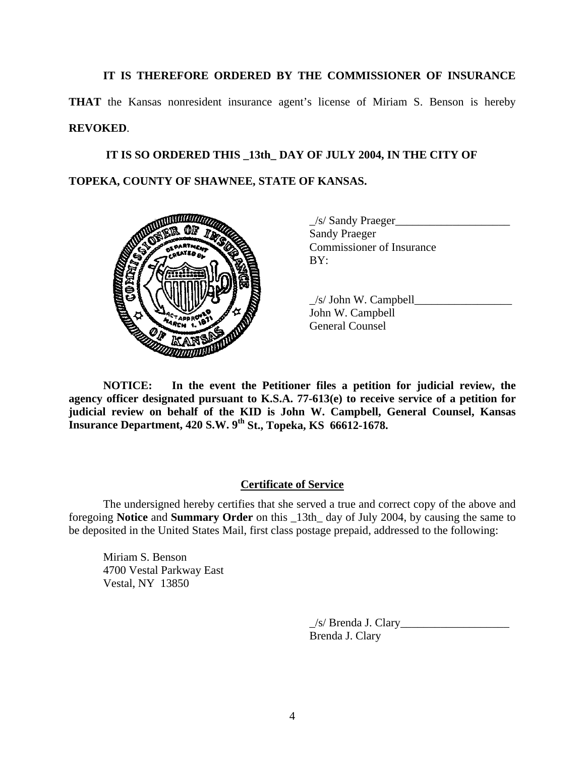**IT IS THEREFORE ORDERED BY THE COMMISSIONER OF INSURANCE** 

**THAT** the Kansas nonresident insurance agent's license of Miriam S. Benson is hereby **REVOKED**.

 **IT IS SO ORDERED THIS \_13th\_ DAY OF JULY 2004, IN THE CITY OF TOPEKA, COUNTY OF SHAWNEE, STATE OF KANSAS.** 



 $\angle$ s/ Sandy Praeger $\angle$ Sandy Praeger Commissioner of Insurance

 $\angle$ s/ John W. Campbell John W. Campbell General Counsel

**NOTICE: In the event the Petitioner files a petition for judicial review, the agency officer designated pursuant to K.S.A. 77-613(e) to receive service of a petition for judicial review on behalf of the KID is John W. Campbell, General Counsel, Kansas Insurance Department, 420 S.W. 9th St., Topeka, KS 66612-1678.** 

# **Certificate of Service**

 The undersigned hereby certifies that she served a true and correct copy of the above and foregoing **Notice** and **Summary Order** on this \_13th\_ day of July 2004, by causing the same to be deposited in the United States Mail, first class postage prepaid, addressed to the following:

 Miriam S. Benson 4700 Vestal Parkway East Vestal, NY 13850

> \_/s/ Brenda J. Clary\_\_\_\_\_\_\_\_\_\_\_\_\_\_\_\_\_\_\_ Brenda J. Clary